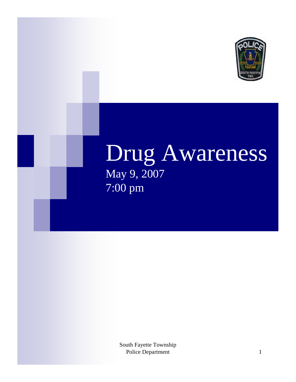

## Drug Awareness May 9, 2007 7:00 pm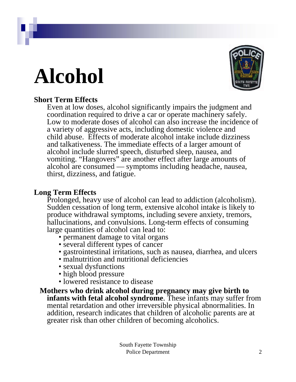## **Alcohol**



### **Short Term Effects**

Even at low doses, alcohol significantly impairs the judgment and coordination required to drive a car or operate machinery safely. Low to moderate doses of alcohol can also increase the incidence of a variety of aggressive acts, including domestic violence and child abuse. Effects of moderate alcohol intake include dizziness and talkativeness. The immediate effects of a larger amount of alcohol include slurred speech, disturbed sleep, nausea, and vomiting. "Hangovers" are another effect after large amounts of alcohol are consumed — symptoms including headache, nausea, thirst, dizziness, and fatigue.

### **Long Term Effects**

Prolonged, heavy use of alcohol can lead to addiction (alcoholism). Sudden cessation of long term, extensive alcohol intake is likely to produce withdrawal symptoms, including severe anxiety, tremors, hallucinations, and convulsions. Long-term effects of consuming large quantities of alcohol can lead to:

- permanent damage to vital organs
- several different types of cancer
- gastrointestinal irritations, such as nausea, diarrhea, and ulcers
- malnutrition and nutritional deficiencies
- sexual dysfunctions
- high blood pressure
- lowered resistance to disease
- **Mothers who drink alcohol during pregnancy may give birth to infants with fetal alcohol syndrome**. These infants may suffer from mental retardation and other irreversible physical abnormalities. In addition, research indicates that children of alcoholic parents are at greater risk than other children of becoming alcoholics.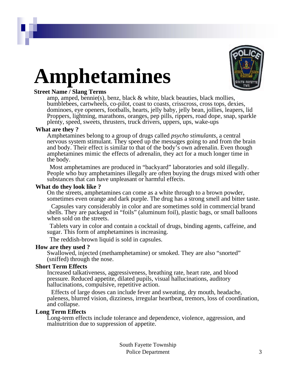# **Amphetamines**



### **Street Name / Slang Terms**

amp, amped, bennie(s), benz, black & white, black beauties, black mollies, bumblebees, cartwheels, co-pilot, coast to coasts, crisscross, cross tops, dexies, dominoes, eye openers, footballs, hearts, jelly baby, jelly bean, jollies, leapers, lid Proppers, lightning, marathons, oranges, pep pills, rippers, road dope, snap, sparkle plenty, speed, sweets, thrusters, truck drivers, uppers, ups, wake-ups

### **What are they ?**

Amphetamines belong to a group of drugs called *psycho stimulants*, a central nervous system stimulant. They speed up the messages going to and from the brain and body. Their effect is similar to that of the body's own adrenalin. Even though amphetamines mimic the effects of adrenalin, they act for a much longer time in the body.

Most amphetamines are produced in "backyard" laboratories and sold illegally. People who buy amphetamines illegally are often buying the drugs mixed with other substances that can have unpleasant or harmful effects.

### **What do they look like ?**

On the streets, amphetamines can come as a white through to a brown powder, sometimes even orange and dark purple. The drug has a strong smell and bitter taste.

Capsules vary considerably in color and are sometimes sold in commercial brand shells. They are packaged in "foils" (aluminum foil), plastic bags, or small balloons when sold on the streets.

Tablets vary in color and contain a cocktail of drugs, binding agents, caffeine, and sugar. This form of amphetamines is increasing.

The reddish-brown liquid is sold in capsules.

### **How are they used ?**

Swallowed, injected (methamphetamine) or smoked. They are also "snorted" (sniffed) through the nose.

### **Short Term Effects**

Increased talkativeness, aggressiveness, breathing rate, heart rate, and blood pressure. Reduced appetite, dilated pupils, visual hallucinations, auditory hallucinations, compulsive, repetitive action.

Effects of large doses can include fever and sweating, dry mouth, headache, paleness, blurred vision, dizziness, irregular heartbeat, tremors, loss of coordination, and collapse.

### **Long Term Effects**

Long-term effects include tolerance and dependence, violence, aggression, and malnutrition due to suppression of appetite.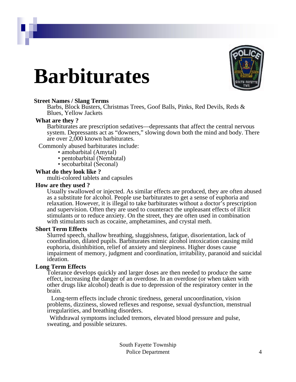## **Barbiturates**



### **Street Names / Slang Terms**

Barbs, Block Busters, Christmas Trees, Goof Balls, Pinks, Red Devils, Reds & Blues, Yellow Jackets

### **What are they ?**

Barbiturates are prescription sedatives—depressants that affect the central nervous system. Depressants act as "downers," slowing down both the mind and body. There are over 2,000 known barbiturates.

Commonly abused barbiturates include:

- amobarbital (Amytal)
- pentobarbital (Nembutal)
- secobarbital (Seconal)

### **What do they look like ?**

multi-colored tablets and capsules

### **How are they used ?**

Usually swallowed or injected. As similar effects are produced, they are often abused as a substitute for alcohol. People use barbiturates to get a sense of euphoria and relaxation. However, it is illegal to take barbiturates without a doctor's prescription and supervision. Often they are used to counteract the unpleasant effects of illicit stimulants or to reduce anxiety. On the street, they are often used in combination with stimulants such as cocaine, amphetamines, and crystal meth.

### **Short Term Effects**

Slurred speech, shallow breathing, sluggishness, fatigue, disorientation, lack of coordination, dilated pupils. Barbiturates mimic alcohol intoxication causing mild euphoria, disinhibition, relief of anxiety and sleepiness. Higher doses cause impairment of memory, judgment and coordination, irritability, paranoid and suicidal ideation.

### **Long Term Effects**

Tolerance develops quickly and larger doses are then needed to produce the same effect, increasing the danger of an overdose. In an overdose (or when taken with other drugs like alcohol) death is due to depression of the respiratory center in the brain.

Long-term effects include chronic tiredness, general uncoordination, vision problems, dizziness, slowed reflexes and response, sexual dysfunction, menstrual irregularities, and breathing disorders.

Withdrawal symptoms included tremors, elevated blood pressure and pulse, sweating, and possible seizures.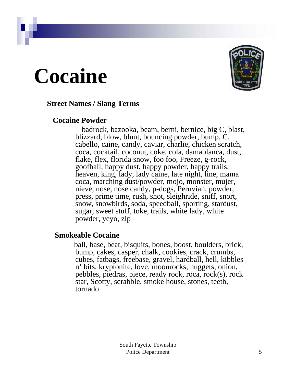## **Cocaine**



### **Street Names / Slang Terms**

### **Cocaine Powder**

badrock, bazooka, beam, berni, bernice, big C, blast, blizzard, blow, blunt, bouncing powder, bump, C, cabello, caine, candy, caviar, charlie, chicken scratch, coca, cocktail, coconut, coke, cola, damablanca, dust, flake, flex, florida snow, foo foo, Freeze, g-rock, goofball, happy dust, happy powder, happy trails, heaven, king, lady, lady caine, late night, line, mama coca, marching dust/powder, mojo, monster, mujer, nieve, nose, nose candy, p-dogs, Peruvian, powder, press, prime time, rush, shot, sleighride, sniff, snort, snow, snowbirds, soda, speedball, sporting, stardust, sugar, sweet stuff, toke, trails, white lady, white powder, yeyo, zip

### **Smokeable Cocaine**

ball, base, beat, bisquits, bones, boost, boulders, brick, bump, cakes, casper, chalk, cookies, crack, crumbs, cubes, fatbags, freebase, gravel, hardball, hell, kibbles n' bits, kryptonite, love, moonrocks, nuggets, onion, pebbles, piedras, piece, ready rock, roca, rock(s), rock star, Scotty, scrabble, smoke house, stones, teeth, tornado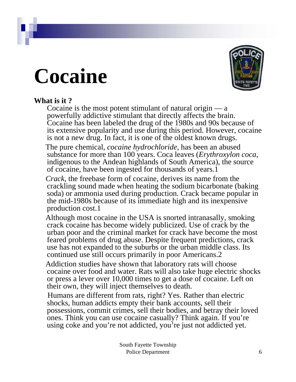## **Cocaine**



### **What is it ?**

Cocaine is the most potent stimulant of natural origin — a powerfully addictive stimulant that directly affects the brain. Cocaine has been labeled the drug of the 1980s and 90s because of its extensive popularity and use during this period. However, cocaine is not a new drug. In fact, it is one of the oldest known drugs.

The pure chemical, *cocaine hydrochloride*, has been an abused substance for more than 100 years. Coca leaves (*Erythroxylon coca,*  indigenous to the Andean highlands of South America), the source of cocaine, have been ingested for thousands of years.1

*Crack*, the freebase form of cocaine, derives its name from the crackling sound made when heating the sodium bicarbonate (baking soda) or ammonia used during production. Crack became popular in the mid-1980s because of its immediate high and its inexpensive production cost.1

Although most cocaine in the USA is snorted intranasally, smoking crack cocaine has become widely publicized. Use of crack by the urban poor and the criminal market for crack have become the most feared problems of drug abuse. Despite frequent predictions, crack use has not expanded to the suburbs or the urban middle class. Its continued use still occurs primarily in poor Americans.2

Addiction studies have shown that laboratory rats will choose cocaine over food and water. Rats will also take huge electric shocks or press a lever over 10,000 times to get a dose of cocaine. Left on their own, they will inject themselves to death.

Humans are different from rats, right? Yes. Rather than electric shocks, human addicts empty their bank accounts, sell their possessions, commit crimes, sell their bodies, and betray their loved ones. Think you can use cocaine casually? Think again. If you're using coke and you're not addicted, you're just not addicted yet.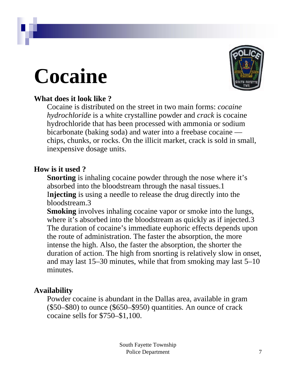## **Cocaine**



### **What does it look like ?**

Cocaine is distributed on the street in two main forms: *cocaine hydrochloride* is a white crystalline powder and *crack* is cocaine hydrochloride that has been processed with ammonia or sodium bicarbonate (baking soda) and water into a freebase cocaine chips, chunks, or rocks. On the illicit market, crack is sold in small, inexpensive dosage units.

### **How is it used ?**

**Snorting** is inhaling cocaine powder through the nose where it's absorbed into the bloodstream through the nasal tissues.1 I**njecting** is using a needle to release the drug directly into the bloodstream.3

**Smoking** involves inhaling cocaine vapor or smoke into the lungs, where it's absorbed into the bloodstream as quickly as if injected.3 The duration of cocaine's immediate euphoric effects depends upon the route of administration. The faster the absorption, the more intense the high. Also, the faster the absorption, the shorter the duration of action. The high from snorting is relatively slow in onset, and may last 15–30 minutes, while that from smoking may last 5–10 minutes.

### **Availability**

Powder cocaine is abundant in the Dallas area, available in gram (\$50–\$80) to ounce (\$650–\$950) quantities. An ounce of crack cocaine sells for \$750–\$1,100.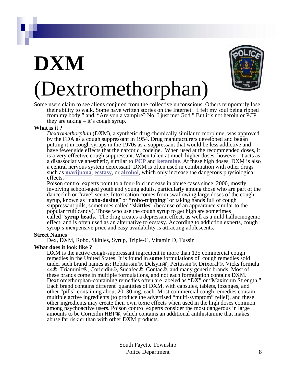## **DXM** (Dextromethorphan)



Some users claim to see aliens conjured from the collective unconscious. Others temporarily lose their ability to walk. Some have written stories on the Internet: "I felt my soul being ripped from my body," and, "Are you a vampire? No, I just met God." But it's not heroin or PCP they are taking  $-$  it's cough syrup.

### **What is it ?**

*Dextromethorphan* (DXM), a synthetic drug chemically similar to morphine, was approved by the FDA as a cough suppressant in 1954. Drug manufacturers developed and began putting it in cough syrups in the 1970s as a suppressant that would be less addictive and have fewer side effects that the narcotic, codeine. When used at the recommended doses, it is a very effective cough suppressant. When taken at much higher doses, however, it acts as a disassociative anesthetic, similar to **[PCP](http://www.gdcada.org/statistics/pcp.htm)** and **[ketamine](http://www.gdcada.org/statistics/ketamine.htm)**. At these high doses, DXM is also a central nervous system depressant. DXM is often used in combination with other drugs such as **[marijuana](http://www.gdcada.org/statistics/marijuana.htm)**, **[ecstasy](http://www.gdcada.org/statistics/ecstasy.htm)**, or **[alcohol](http://www.gdcada.org/statistics/alcohol.htm)**, which only increase the dangerous physiological effects.

Poison control experts point to a four-fold increase in abuse cases since 2000, mostly involving school-aged youth and young adults, particularly among those who are part of the danceclub or "rave" scene. Intoxication comes from swallowing large doses of the cough syrup, known as "**robo-dosing**" or "**robo-tripping**" or taking hands full of cough suppressant pills, sometimes called "**skittles**" (because of an appearance similar to the popular fruit candy). Those who use the cough syrup to get high are sometimes called "**syrup heads**. The drug creates a depressant effect, as well as a mild hallucinogenic effect, and is often used as an alternative to ecstasy. According to addiction experts, cough syrup's inexpensive price and easy availability is attracting adolescents.

### **Street Names**

Dex, DXM, Robo, Skittles, Syrup, Triple-C, Vitamin D, Tussin

### **What does it look like ?**

DXM is the active cough-suppressant ingredient in more than 125 commercial cough remedies in the United States. It is found in **some** formulations of cough remedies sold under such brand names as: Robitussin®, Delsym®, Pertussin®, Drixoral®, Vicks formula 44®, Triaminic®, Coricidin®, Sudafed®, Contac®, and many generic brands. Most of these brands come in multiple formulations, and not each formulation contains DXM. Dextromethorphan-containing remedies often are labeled as "DX" or "Maximum Strength." Each brand contains different quantities of DXM, with capsules, tablets, lozenges, and other "pills" containing about 20–30 mg. each. Most commercial cough remedies contain multiple active ingredients (to produce the advertised "multi-symptom" relief), and these other ingredients may create their own toxic effects when used in the high doses common among psychoactive users. Poison control experts consider the most dangerous in large amounts to be Coricidin HBP®, which contains an additional antihistamine that makes abuse far riskier than with other DXM products.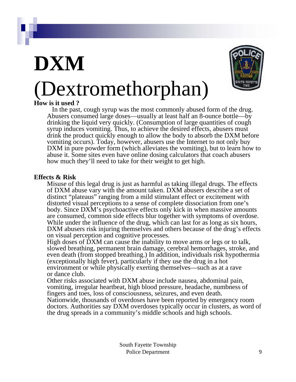# **DXM**



## (Dextromethorphan)

### **How is it used ?**

In the past, cough syrup was the most commonly abused form of the drug. Abusers consumed large doses—usually at least half an 8-ounce bottle—by drinking the liquid very quickly. (Consumption of large quantities of cough syrup induces vomiting. Thus, to achieve the desired effects, abusers must drink the product quickly enough to allow the body to absorb the DXM before vomiting occurs). Today, however, abusers use the Internet to not only buy DXM in pure powder form (which alleviates the vomiting), but to learn how to abuse it. Some sites even have online dosing calculators that coach abusers how much they'll need to take for their weight to get high.

### **Effects & Risk**

Misuse of this legal drug is just as harmful as taking illegal drugs. The effects of DXM abuse vary with the amount taken. DXM abusers describe a set of distinct "plateaus" ranging from a mild stimulant effect or excitement with distorted visual perceptions to a sense of complete dissociation from one's body. Since DXM's psychoactive effects only kick in when massive amounts are consumed, common side effects blur together with symptoms of overdose. While under the influence of the drug, which can last for as long as six hours, DXM abusers risk injuring themselves and others because of the drug's effects on visual perception and cognitive processes.

High doses of DXM can cause the inability to move arms or legs or to talk, slowed breathing, permanent brain damage, cerebral hemorrhages, stroke, and even death (from stopped breathing.) In addition, individuals risk hypothermia (exceptionally high fever), particularly if they use the drug in a hot environment or while physically exerting themselves—such as at a rave or dance club.

Other risks associated with DXM abuse include nausea, abdominal pain, vomiting, irregular heartbeat, high blood pressure, headache, numbness of fingers and toes, loss of consciousness, seizures, and even death.

Nationwide, thousands of overdoses have been reported by emergency room doctors. Authorities say DXM overdoses typically occur in clusters, as word of the drug spreads in a community's middle schools and high schools.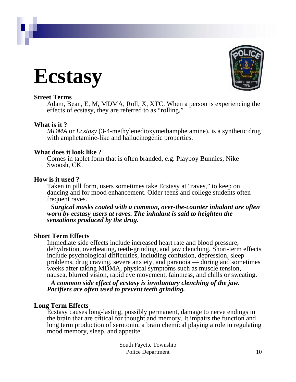



Adam, Bean, E, M, MDMA, Roll, X, XTC. When a person is experiencing the effects of ecstasy, they are referred to as "rolling."

### **What is it ?**

*MDMA* or *Ecstasy* (3-4-methylenedioxymethamphetamine), is a synthetic drug with amphetamine-like and hallucinogenic properties.

### **What does it look like ?**

Comes in tablet form that is often branded, e.g. Playboy Bunnies, Nike Swoosh, CK.

### **How is it used ?**

Taken in pill form, users sometimes take Ecstasy at "raves," to keep on dancing and for mood enhancement. Older teens and college students often frequent raves.

*Surgical masks coated with a common, over-the-counter inhalant are often worn by ecstasy users at raves. The inhalant is said to heighten the sensations produced by the drug.*

### **Short Term Effects**

Immediate side effects include increased heart rate and blood pressure, dehydration, overheating, teeth-grinding, and jaw clenching. Short-term effects include psychological difficulties, including confusion, depression, sleep problems, drug craving, severe anxiety, and paranoia — during and sometimes weeks after taking MDMA, physical symptoms such as muscle tension, nausea, blurred vision, rapid eye movement, faintness, and chills or sweating.

*A common side effect of ecstasy is involuntary clenching of the jaw. Pacifiers are often used to prevent teeth grinding.*

### **Long Term Effects**

Ecstasy causes long-lasting, possibly permanent, damage to nerve endings in the brain that are critical for thought and memory. It impairs the function and long term production of serotonin, a brain chemical playing a role in regulating mood memory, sleep, and appetite.

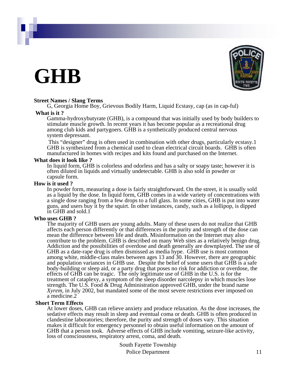## **GHB**



### **Street Names / Slang Terms**

G, Georgia Home Boy, Grievous Bodily Harm, Liquid Ecstasy, cap (as in cap-ful)

### **What is it ?**

Gamma-hydroxybutyrate (GHB), is a compound that was initially used by body builders to stimulate muscle growth. In recent years it has become popular as a recreational drug among club kids and partygoers. GHB is a synthetically produced central nervous system depressant.

This "designer" drug is often used in combination with other drugs, particularly ecstasy.1 GHB is synthesized from a chemical used to clean electrical circuit boards. GHB is often manufactured in homes with recipes and kits found and purchased on the Internet.

### **What does it look like ?**

In liquid form, GHB is colorless and odorless and has a salty or soapy taste; however it is often diluted in liquids and virtually undetectable. GHB is also sold in powder or capsule form.

### **How is it used ?**

In powder form, measuring a dose is fairly straightforward. On the street, it is usually sold as a liquid by the dose. In liquid form, GHB comes in a wide variety of concentrations with a single dose ranging from a few drops to a full glass. In some cities, GHB is put into water guns, and users buy it by the squirt. In other instances, candy, such as a lollipop, is dipped in GHB and sold.1

### **Who uses GHB ?**

The majority of GHB users are young adults. Many of these users do not realize that GHB affects each person differently or that differences in the purity and strength of the dose can mean the difference between life and death. Misinformation on the Internet may also contribute to the problem. GHB is described on many Web sites as a relatively benign drug. Addiction and the possibilities of overdose and death generally are downplayed. The use of GHB as a date-rape drug is often dismissed as media hype. GHB use is most common among white, middle-class males between ages 13 and 30. However, there are geographic and population variances in GHB use. Despite the belief of some users that GHB is a safe body-building or sleep aid, or a party drug that poses no risk for addiction or overdose, the effects of GHB can be tragic. The only legitimate use of GHB in the U.S. is for the treatment of cataplexy, a symptom of the sleep disorder narcolepsy in which muscles lose strength. The U.S. Food & Drug Administration approved GHB, under the brand name *Xyrem*, in July 2002, but mandated some of the most severe restrictions ever imposed on a medicine.2

### **Short Term Effects**

At lower doses, GHB can relieve anxiety and produce relaxation. As the dose increases, the sedative effects may result in sleep and eventual coma or death. GHB is often produced in clandestine laboratories; therefore, the purity and strength of doses vary. This situation makes it difficult for emergency personnel to obtain useful information on the amount of GHB that a person took. Adverse effects of GHB include vomiting, seizure-like activity, loss of consciousness, respiratory arrest, coma, and death.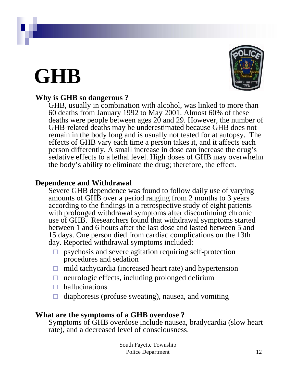## **GHB**



### **Why is GHB so dangerous ?**

GHB, usually in combination with alcohol, was linked to more than 60 deaths from January 1992 to May 2001. Almost 60% of these deaths were people between ages 20 and 29. However, the number of GHB-related deaths may be underestimated because GHB does not remain in the body long and is usually not tested for at autopsy. The effects of GHB vary each time a person takes it, and it affects each person differently. A small increase in dose can increase the drug's sedative effects to a lethal level. High doses of GHB may overwhelm the body's ability to eliminate the drug; therefore, the effect.

### **Dependence and Withdrawal**

Severe GHB dependence was found to follow daily use of varying amounts of GHB over a period ranging from 2 months to 3 years according to the findings in a retrospective study of eight patients with prolonged withdrawal symptoms after discontinuing chronic use of GHB. Researchers found that withdrawal symptoms started between 1 and 6 hours after the last dose and lasted between 5 and 15 days. One person died from cardiac complications on the 13th day. Reported withdrawal symptoms included:

- $\Box$  psychosis and severe agitation requiring self-protection procedures and sedation
- $\Box$  mild tachycardia (increased heart rate) and hypertension
- $\Box$  neurologic effects, including prolonged delirium
- $\Box$  hallucinations
- $\Box$  diaphoresis (profuse sweating), nausea, and vomiting

### **What are the symptoms of a GHB overdose ?**

Symptoms of GHB overdose include nausea, bradycardia (slow heart rate), and a decreased level of consciousness.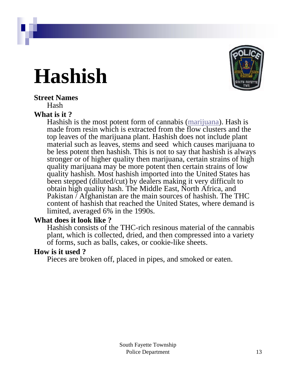## **Hashish**



## **Street Names**

Hash

### **What is it ?**

Hashish is the most potent form of cannabis ([marijuana](http://www.gdcada.org/statistics/marijuana.htm)). Hash is made from resin which is extracted from the flow clusters and the top leaves of the marijuana plant. Hashish does not include plant material such as leaves, stems and seed which causes marijuana to be less potent then hashish. This is not to say that hashish is always stronger or of higher quality then marijuana, certain strains of high quality marijuana may be more potent then certain strains of low quality hashish. Most hashish imported into the United States has been stepped (diluted/cut) by dealers making it very difficult to obtain high quality hash. The Middle East, North Africa, and Pakistan / Afghanistan are the main sources of hashish. The THC content of hashish that reached the United States, where demand is limited, averaged 6% in the 1990s.

### **What does it look like ?**

Hashish consists of the THC-rich resinous material of the cannabis plant, which is collected, dried, and then compressed into a variety of forms, such as balls, cakes, or cookie-like sheets.

### **How is it used ?**

Pieces are broken off, placed in pipes, and smoked or eaten.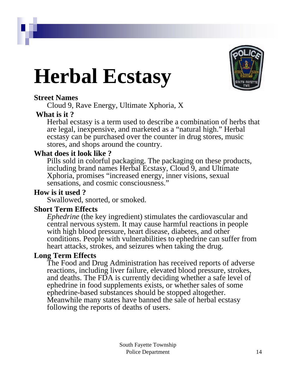# **Herbal Ecstasy**



### **Street Names**

Cloud 9, Rave Energy, Ultimate Xphoria, X

### **What is it ?**

Herbal ecstasy is a term used to describe a combination of herbs that are legal, inexpensive, and marketed as a "natural high." Herbal ecstasy can be purchased over the counter in drug stores, music stores, and shops around the country.

### **What does it look like ?**

Pills sold in colorful packaging. The packaging on these products, including brand names Herbal Ecstasy, Cloud 9, and Ultimate Xphoria, promises "increased energy, inner visions, sexual sensations, and cosmic consciousness."

### **How is it used ?**

Swallowed, snorted, or smoked.

### **Short Term Effects**

*Ephedrine* (the key ingredient) stimulates the cardiovascular and central nervous system. It may cause harmful reactions in people with high blood pressure, heart disease, diabetes, and other conditions. People with vulnerabilities to ephedrine can suffer from heart attacks, strokes, and seizures when taking the drug.

### **Long Term Effects**

The Food and Drug Administration has received reports of adverse reactions, including liver failure, elevated blood pressure, strokes, and deaths. The FDA is currently deciding whether a safe level of ephedrine in food supplements exists, or whether sales of some ephedrine-based substances should be stopped altogether. Meanwhile many states have banned the sale of herbal ecstasy following the reports of deaths of users.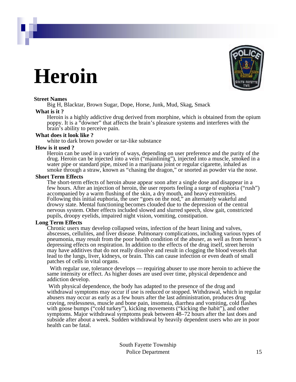## **Heroin**



Big H, Blacktar, Brown Sugar, Dope, Horse, Junk, Mud, Skag, Smack

### **What is it ?**

Heroin is a highly addictive drug derived from morphine, which is obtained from the opium poppy. It is a "downer" that affects the brain's pleasure systems and interferes with the brain's ability to perceive pain.

### **What does it look like ?**

white to dark brown powder or tar-like substance

### **How is it used ?**

Heroin can be used in a variety of ways, depending on user preference and the purity of the drug. Heroin can be injected into a vein ("mainlining"), injected into a muscle, smoked in a water pipe or standard pipe, mixed in a marijuana joint or regular cigarette, inhaled as smoke through a straw, known as "chasing the dragon," or snorted as powder via the nose.

### **Short Term Effects**

The short-term effects of heroin abuse appear soon after a single dose and disappear in a few hours. After an injection of heroin, the user reports feeling a surge of euphoria ("rush") accompanied by a warm flushing of the skin, a dry mouth, and heavy extremities. Following this initial euphoria, the user "goes on the nod," an alternately wakeful and drowsy state. Mental functioning becomes clouded due to the depression of the central nervous system. Other effects included slowed and slurred speech, slow gait, constricted pupils, droopy eyelids, impaired night vision, vomiting, constipation.

### **Long Term Effects**

Chronic users may develop collapsed veins, infection of the heart lining and valves, abscesses, cellulites, and liver disease. Pulmonary complications, including various types of pneumonia, may result from the poor health condition of the abuser, as well as from heron's depressing effects on respiration. In addition to the effects of the drug itself, street heroin may have additives that do not really dissolve and result in clogging the blood vessels that lead to the lungs, liver, kidneys, or brain. This can cause infection or even death of small patches of cells in vital organs.

With regular use, tolerance develops — requiring abuser to use more heroin to achieve the same intensity or effect. As higher doses are used over time, physical dependence and addiction develop.

With physical dependence, the body has adapted to the presence of the drug and withdrawal symptoms may occur if use is reduced or stopped. Withdrawal, which in regular abusers may occur as early as a few hours after the last administration, produces drug craving, restlessness, muscle and bone pain, insomnia, diarrhea and vomiting, cold flashes with goose bumps ("cold turkey"), kicking movements ("kicking the habit"), and other symptoms. Major withdrawal symptoms peak between 48–72 hours after the last does and subside after about a week. Sudden withdrawal by heavily dependent users who are in poor health can be fatal.

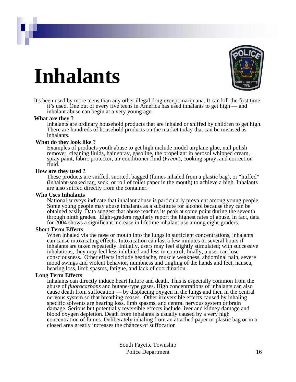## **Inhalants**



It's been used by more teens than any other illegal drug except marijuana. It can kill the first time it's used. One out of every five teens in America has used inhalants to get high — and inhalant abuse can begin at a very young age.

### **What are they ?**

Inhalants are ordinary household products that are inhaled or sniffed by children to get high. There are hundreds of household products on the market today that can be misused as inhalants.

### **What do they look like ?**

Examples of products youth abuse to get high include model airplane glue, nail polish remover, cleaning fluids, hair spray, gasoline, the propellant in aerosol whipped cream, spray paint, fabric protector, air conditioner fluid (*Freon*), cooking spray, and correction fluid.

### **How are they used ?**

These products are sniffed, snorted, bagged (fumes inhaled from a plastic bag), or "huffed" (inhalant-soaked rag, sock, or roll of toilet paper in the mouth) to achieve a high. Inhalants are also sniffed directly from the container.

### **Who Uses Inhalants**

National surveys indicate that inhalant abuse is particularly prevalent among young people. Some young people may abuse inhalants as a substitute for alcohol because they can be obtained easily. Data suggest that abuse reaches its peak at some point during the seventh through ninth grades. Eight-graders regularly report the highest rates of abuse. In fact, data for 2004 shows a significant increase in lifetime inhalant use among eight-graders.

### **Short Term Effects**

When inhaled via the nose or mouth into the lungs in sufficient concentrations, inhalants can cause intoxicating effects. Intoxication can last a few minutes or several hours if inhalants are taken repeatedly. Initially, users may feel slightly stimulated; with successive inhalations, they may feel less inhibited and less in control; finally, a user can lose consciousness. Other effects include headache, muscle weakness, abdominal pain, severe mood swings and violent behavior, numbness and tingling of the hands and feet, nausea, hearing loss, limb spasms, fatigue, and lack of coordination.

### **Long Term Effects**

Inhalants can directly induce heart failure and death. This is especially common from the abuse of *fluorocarbons* and butane-type gases. High concentrations of inhalants can also cause death from suffocation — by displacing oxygen in the lungs and then in the central nervous system so that breathing ceases. Other irreversible effects caused by inhaling specific solvents are hearing loss, limb spasms, and central nervous system or brain damage. Serious but potentially reversible effects include liver and kidney damage and blood oxygen depletion. Death from inhalants is usually caused by a very high concentration of fumes. Deliberately inhaling from an attached paper or plastic bag or in a closed area greatly increases the chances of suffocation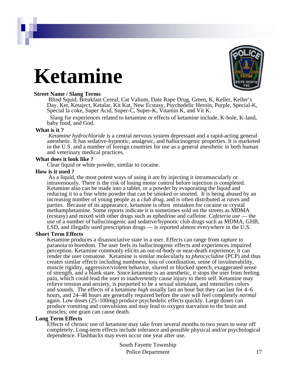## **Ketamine**



### **Street Name / Slang Terms**

Blind Squid, Breakfast Cereal, Cat Valium, Date Rape Drug, Green, K, Keller, Keller's Day, Ket, Ketaject, Ketalar, Kit Kat, New Ecstasy, Psychedelic Heroin, Purple, Special-K, Special la coke, Super Acid, Super-C, Super-K, Vitamin K, and Vit K.

Slang for experiences related to ketamine or effects of ketamine include, K-hole, K-land, baby food, and God.

### **What is it ?**

*Ketamine hydrochloride* is a central nervous system depressant and a rapid-acting general anesthetic. It has sedative-hypnotic, analgesic, and hallucinogenic properties. It is marketed in the U.S. and a number of foreign countries for use as a general anesthetic in both human and veterinary medical practices.

### **What does it look like ?**

Clear liquid or white powder, similar to cocaine.

### **How is it used ?**

As a liquid, the most potent ways of using it are by injecting it intramuscularly or intravenously. There is the risk of losing motor control before injection is completed. Ketamine also can be made into a tablet, or a powder by evaporating the liquid and reducing it to a fine white powder that can be smoked or snorted. It is being abused by an increasing number of young people as a *club drug*, and is often distributed at *raves* and parties. Because of its appearance, ketamine is often mistaken for cocaine or crystal methamphetamine. Some reports indicate it is sometimes sold on the streets as MDMA (ecstasy) and mixed with other drugs such as ephedrine and caffeine. *Cafeteria use* — the use of a number of hallucinogenic and sedative/hypnotic club drugs such as MDMA, GHB, LSD, and illegally used prescription drugs — is reported almost everywhere in the U.S.

### **Short Term Effects**

Ketamine produces a disassociative state in a user. Effects can range from rapture to paranoia to boredom. The user feels its hallucinogenic effects and experiences impaired perception. Ketamine commonly elicits an out-of-body or near-death experience; it can render the user comatose. Ketamine is similar molecularly to *phencyclidine* (PCP) and thus creates similar effects including numbness, loss of coordination, sense of invulnerability, muscle rigidity, aggressive/violent behavior, slurred or blocked speech, exaggerated sense of strength, and a blank stare. Since ketamine is an anesthetic, it stops the user from feeling pain, which could lead the user to inadvertently cause injury to them self. Ketamine may relieve tension and anxiety, is purported to be a sexual stimulant, and intensifies colors and sounds. The effects of a ketamine *high* usually last an hour but they can last for 4–6 hours, and 24–48 hours are generally required before the user will feel completely *normal* again. Low doses (25–100mg) produce psychedelic effects quickly. Large doses can produce vomiting and convulsions and may lead to oxygen starvation to the brain and muscles; one gram can cause death.

### **Long Term Effects**

Effects of chronic use of ketamine may take from several months to two years to wear off completely. Long-term effects include tolerance and possible physical and/or psychological dependence. Flashbacks may even occur one year after use.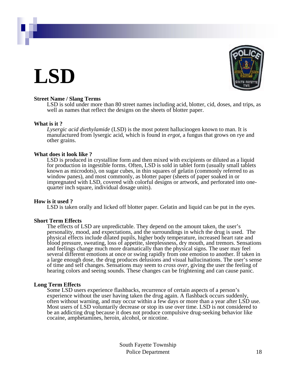## **LSD**



### **Street Name / Slang Terms**

LSD is sold under more than 80 street names including acid, blotter, cid, doses, and trips, as well as names that reflect the designs on the sheets of blotter paper.

### **What is it ?**

*Lysergic acid diethylamide* (LSD) is the most potent hallucinogen known to man. It is manufactured from lysergic acid, which is found in *ergot*, a fungus that grows on rye and other grains.

### **What does it look like ?**

LSD is produced in crystalline form and then mixed with excipients or diluted as a liquid for production in ingestible forms. Often, LSD is sold in tablet form (usually small tablets known as microdots), on sugar cubes, in thin squares of gelatin (commonly referred to as window panes), and most commonly, as blotter paper (sheets of paper soaked in or impregnated with LSD, covered with colorful designs or artwork, and perforated into onequarter inch square, individual dosage units).

### **How is it used ?**

LSD is taken orally and licked off blotter paper. Gelatin and liquid can be put in the eyes.

### **Short Term Effects**

The effects of LSD are unpredictable. They depend on the amount taken, the user's personality, mood, and expectations, and the surroundings in which the drug is used. The physical effects include dilated pupils, higher body temperature, increased heart rate and blood pressure, sweating, loss of appetite, sleeplessness, dry mouth, and tremors. Sensations and feelings change much more dramatically than the physical signs. The user may feel several different emotions at once or swing rapidly from one emotion to another. If taken in a large enough dose, the drug produces delusions and visual hallucinations. The user's sense of time and self changes. Sensations may seem to *cross over*, giving the user the feeling of hearing colors and seeing sounds. These changes can be frightening and can cause panic.

### **Long Term Effects**

Some LSD users experience flashbacks, recurrence of certain aspects of a person's experience without the user having taken the drug again. A flashback occurs suddenly, often without warning, and may occur within a few days or more than a year after LSD use. Most users of LSD voluntarily decrease or stop its use over time. LSD is not considered to be an addicting drug because it does not produce compulsive drug-seeking behavior like cocaine, amphetamines, heroin, alcohol, or nicotine.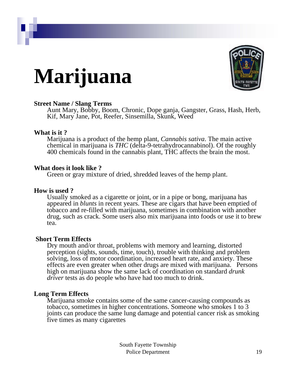# **Marijuana**



### **Street Name / Slang Terms**

Aunt Mary, Bobby, Boom, Chronic, Dope ganja, Gangster, Grass, Hash, Herb, Kif, Mary Jane, Pot, Reefer, Sinsemilla, Skunk, Weed

### **What is it ?**

Marijuana is a product of the hemp plant, *Cannabis sativa*. The main active chemical in marijuana is *THC* (delta-9-tetrahydrocannabinol). Of the roughly 400 chemicals found in the cannabis plant, THC affects the brain the most.

### **What does it look like ?**

Green or gray mixture of dried, shredded leaves of the hemp plant.

### **How is used ?**

Usually smoked as a cigarette or joint, or in a pipe or bong, marijuana has appeared in *blunts* in recent years. These are cigars that have been emptied of tobacco and re-filled with marijuana, sometimes in combination with another drug, such as crack. Some users also mix marijuana into foods or use it to brew tea.

### **Short Term Effects**

Dry mouth and/or throat, problems with memory and learning, distorted perception (sights, sounds, time, touch), trouble with thinking and problem solving, loss of motor coordination, increased heart rate, and anxiety. These effects are even greater when other drugs are mixed with marijuana. Persons high on marijuana show the same lack of coordination on standard *drunk driver* tests as do people who have had too much to drink.

### **Long Term Effects**

Marijuana smoke contains some of the same cancer-causing compounds as tobacco, sometimes in higher concentrations. Someone who smokes 1 to 3 joints can produce the same lung damage and potential cancer risk as smoking five times as many cigarettes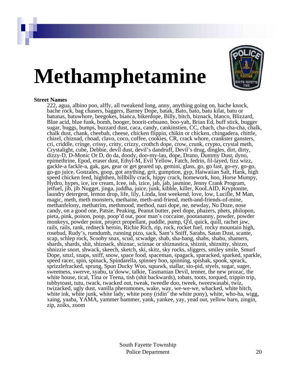# **Methamphetamine**



### **Street Names**

222, agua, albino poo, alffy, all tweakend long, anny, anything going on, bache knock, bache rock, bag chasers, baggers, Barney Dope, batak, Bato, bato, batu kilat, batu or batunas, batuwhore, beegokes, bianca, bikerdope, Billy, bitch, biznack, blanco, Blizzard, Blue acid, blue funk, bomb, booger, boorit-cebuano, boo-yah, Brian Ed, buff stick, bugger sugar, buggs, bumps, buzzard dust, caca, candy, cankinstien, CC, chach, cha-cha-cha, chalk, chalk dust, chank, cheebah, cheese, chicken flippin, chikin or chicken, chingadera, chittle, chizel, chiznad, choad, clavo, coco, coffee, cookies, CR, crack whore, crankster gansters, cri, criddle, cringe, crissy, critty, crizzy, crothch dope, crow, crunk, crypto, crystal meth, Crystalight, cube, Debbie, devil dust, devil's dandruff, Devil's drug, dingles, dirt, dirty, dizzy-D, D-Monic Or D, do da, doody, doo-my-lau, dope, Drano, Dummy Dust, dyno, epimethrine, Epod, eraser dust, Ethyl-M, Evil Yellow, Fatch, fedrin, fil-layed, fizz wizz, gackle-a fackle-a, gak, gas, gear or get geared up, gemini, glass, go, go fast, go-ey, go-go, go-go juice, Gonzales, goop, got anything, grit, gumption, gyp, Haiwaiian Salt, Hank, high speed chicken feed, highthen, hillbilly crack, hippy crack, homework, hoo, Horse Mumpy, Hydro, hypes, ice, ice cream, Icee, ish, izice, jab, jab, jasmine, Jenny Crank Program, jetfuel, jib, jib Nugget, jinga, juddha, juice, junk, kibble, killer, KooLAID, Kryptonite, laundry detergent, lemon drop, life, lily, Linda, lost weekend, love, low, Lucille, M Man, magic, meth, meth monsters, methaine, meth-and-friend, meth-and-friends-of-mine, methanfelony, methatrim, methmood, method, nazi dope, ne, newday, No Doze, nose candy, on a good one, Patsie, Peaking, Peanut butter, peel dope, phazers, phets, philopon, pieta, pink, poison, poop, poop'd out, poor man's coccaine, pootananny, powder, powder monkeys, powder point, project propellant, puddle, pump, Q'd, quick, quill, rachet jaw, rails, rails, rank, redneck heroin, Richie Rich, rip, rock, rocket fuel, rocky mountain high, rosebud, Rudy's, rumdumb, running pizo, sack, Sam's Sniff, Sarahs, Satan Dust, scante, scap, schlep rock, Scooby snax, scud, scwadge, shab, sha-bang, shabs, shabu, shamers, shards, shards, shit, shiznack, shiznac, sciznac or shiznastica, shiznit, shiznitty, shizzo, shnizzie snort, shwack, skeech, sketch, ski, skitz, sky rocks, sliggers, smiley smile, Smurf Dope, smzl, snaps, sniff, snow, space food, spaceman, spagack, sparacked, sparked, sparkle, speed racer, spin, spinack, Spindarella, spinney boo, spinning, spishak, spook, sprack, sprizzlefracked, sprung, Spun Ducky Woo, squawk, stallar, sto-pid, styels, sugar, suger, sweetness, swerve, syabu, ta'doww, talkie, Tasmanian Devil, tenner, the new prozac, the white house, tical, Tina or Teena, tish (shit backwards), tobats, toots, torqued, trippin trip, tubbytoast, tutu, twack, twacked out, tweak, tweedle doo, tweek, tweezwasabi, twiz, twizacked, ugly dust, vanilla pheromones, wake, way, we-we-we, whacked, white bitch, white ink, white junk, white lady, white pony (ridin' the white pony), white, who-ha, wigg, xaing, yaaba, YAMA, yammer bammer, yank, yankee, yay, yead out, yellow barn, zingin, zip, zoiks, zoom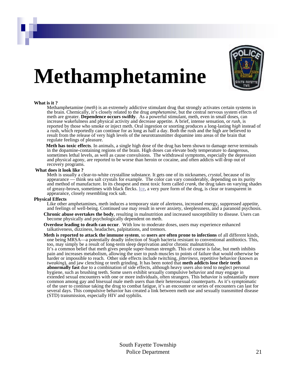

# **Methamphetamine**

#### **What is it ?**

Methamphetamine (*meth*) is an extremely addictive stimulant drug that strongly activates certain systems in the brain. Chemically, it's closely related to the drug *amphetamine*, but the central nervous system effects of meth are greater. **Dependence occurs swiftly**. As a powerful stimulant, meth, even in small doses, can increase wakefulness and physical activity and decrease appetite. A brief, intense sensation, or *rush*, is reported by those who smoke or inject meth. Oral ingestion or snorting produces a long-lasting *high* instead of a rush, which reportedly can continue for as long as half a day. Both the rush and the high are believed to result from the release of very high levels of the neurotransmitter dopamine into areas of the brain that regulate feelings of pleasure.

**Meth has toxic effects**. In animals, a single high dose of the drug has been shown to damage nerve terminals in the dopamine-containing regions of the brain. High doses can elevate body temperature to dangerous, sometimes lethal levels, as well as cause convulsions. The withdrawal symptoms, especially the depression and physical agony, are reported to be worse than heroin or cocaine, and often addicts will drop out of recovery programs.

#### **What does it look like ?**

Meth is usually a clear-to-white crystalline substance. It gets one of its nicknames, *crystal*, because of its appearance — think sea salt crystals for example. The color can vary considerably, depending on its purity and method of manufacture. In its cheapest and most toxic form called *crank*, the drug takes on varying shades of greasy-brown, sometimes with black flecks. [Ice,](http://www.gdcada.org/statistics/meth/ice.htm) a very pure form of the drug, is clear or transparent in appearance, closely resembling rock salt.

#### **Physical Effects**

Like other amphetamines, meth induces a temporary state of alertness, increased energy, suppressed appetite, and feelings of well-being. Continued use may result in sever anxiety, sleeplessness, and a paranoid psychosis.

- **Chronic abuse overtakes the body**, resulting in malnutrition and increased susceptibility to disease. Users can become physically and psychologically dependent on meth.
- **Overdose leading to death can occur**. With low to moderate doses, users may experience enhanced talkativeness, dizziness, headaches, palpitations, and tremors.
- **Meth is reported to attack the immune system**, so **users are often prone to infections** of all different kinds, one being MRSA—a potentially deadly infection of Staph bacteria resistant to conventional antibiotics. This, too, may simply be a result of long-term sleep deprivation and/or chronic malnutrition.

It's a common belief that meth gives people super-human strength. This of course is false, but meth inhibits pain and increases metabolism, allowing the user to push muscles to points of failure that would otherwise be harder or impossible to reach. Other side effects include twitching, *jitteriness*, repetitive behavior (known as *tweaking*), and jaw clenching or teeth grinding. It has been noted that **meth addicts lose their teeth abnormally fast** due to a combination of side effects, although heavy users also tend to neglect personal hygiene, such as brushing teeth. Some users exhibit sexually compulsive behavior and may engage in extended sexual encounters with one or more individuals, often strangers. This behavior is substantially more common among gay and bisexual male meth users than their heterosexual counterparts. As it's symptomatic of the user to continue taking the drug to combat fatigue, it's an encounter or series of encounters can last for several days. This compulsive behavior has created a link between meth use and sexually transmitted disease (STD) transmission, especially HIV and syphilis.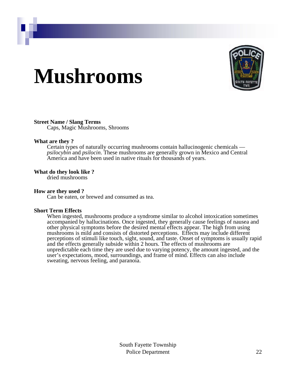## **Mushrooms**



### **Street Name / Slang Terms**

Caps, Magic Mushrooms, Shrooms

### **What are they ?**

Certain types of naturally occurring mushrooms contain hallucinogenic chemicals *psilocybin* and *psilocin*. These mushrooms are generally grown in Mexico and Central America and have been used in native rituals for thousands of years.

### **What do they look like ?**

dried mushrooms

### **How are they used ?**

Can be eaten, or brewed and consumed as tea.

### **Short Term Effects**

When ingested, mushrooms produce a syndrome similar to alcohol intoxication sometimes accompanied by hallucinations. Once ingested, they generally cause feelings of nausea and other physical symptoms before the desired mental effects appear. The high from using mushrooms is mild and consists of distorted perceptions. Effects may include different perceptions of stimuli like touch, sight, sound, and taste. Onset of symptoms is usually rapid and the effects generally subside within 2 hours. The effects of mushrooms are unpredictable each time they are used due to varying potency, the amount ingested, and the user's expectations, mood, surroundings, and frame of mind. Effects can also include sweating, nervous feeling, and paranoia.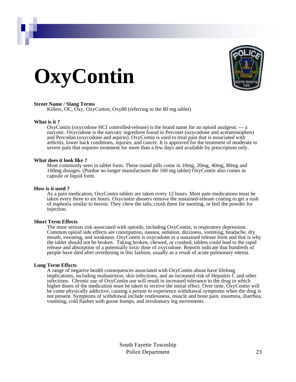# **OxyContin**



### **Street Name / Slang Terms**

Killers, OC, Oxy, OxyCotton, Oxy80 (referring to the 80 mg tablet)

### **What is it ?**

OxyContin (oxycodone HCI controlled-release) is the brand name for an opioid analgesic — a narcotic. Oxycodone is the narcotic ingredient found in Percoset (oxycodone and acetaminophen) and Percodan (oxycodone and aspirin). OxyContin is used to treat pain that is associated with arthritis, lower back conditions, injuries, and cancer. It is approved for the treatment of moderate to severe pain that requires treatment for more than a few days and available by prescription only.

#### **What does it look like ?**

Most commonly seen in tablet form. These round pills come in 10mg, 20mg, 40mg, 80mg and 160mg dosages. (Purdue no longer manufactures the 160 mg tablet) OxyContin also comes in capsule or liquid form.

#### **How is it used ?**

As a pain medication, OxyContin tablets are taken every 12 hours. Most pain medications must be taken every three to six hours. Oxycontin abusers remove the sustained-release coating to get a rush of euphoria similar to heroin. They chew the tabs, crush them for snorting, or boil the powder for injection.

### **Short Term Effects**

The most serious risk associated with opioids, including OxyContin, is respiratory depression. Common opioid side effects are constipation, nausea, sedation, dizziness, vomiting, headache, dry mouth, sweating, and weakness. OxyContin is oxycodone in a sustained release form and that is why the tablet should not be broken. Taking broken, chewed, or crushed, tablets could lead to the rapid release and absorption of a potentially toxic dose of oxycodone. Reports indicate that hundreds of people have died after overdosing in this fashion, usually as a result of acute pulmonary edema.

### **Long Term Effects**

A range of negative health consequences associated with OxyContin abuse have lifelong implications, including malnutrition, skin infections, and an increased risk of Hepatitis C and other infections. Chronic use of OxyContin use will result in increased tolerance to the drug in which higher doses of the medication must be taken to receive the initial effect. Over time, OxyContin will be come physically addictive, causing a person to experience withdrawal symptoms when the drug is not present. Symptoms of withdrawal include restlessness, muscle and bone pain, insomnia, diarrhea, vomiting, cold flashes with goose bumps, and involuntary leg movements.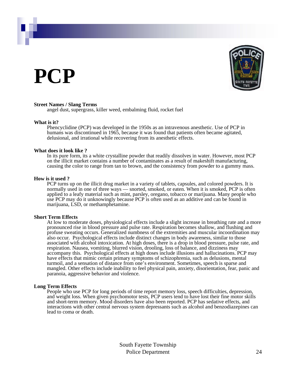## **PCP**



### **Street Names / Slang Terms**

angel dust, supergrass, killer weed, embalming fluid, rocket fuel

### **What is it?**

Phencyclidine (PCP) was developed in the 1950s as an intravenous anesthetic. Use of PCP in humans was discontinued in 1965, because it was found that patients often became agitated, delusional, and irrational while recovering from its anesthetic effects.

### **What does it look like ?**

In its pure form, its a white crystalline powder that readily dissolves in water. However, most PCP on the illicit market contains a number of contaminates as a result of makeshift manufacturing, causing the color to range from tan to brown, and the consistency from powder to a gummy mass.

### **How is it used ?**

PCP turns up on the illicit drug market in a variety of tablets, capsules, and colored powders. It is normally used in one of three ways — snorted, smoked, or eaten. When it is smoked, PCP is often applied to a leafy material such as mint, parsley, oregano, tobacco or marijuana. Many people who use PCP may do it unknowingly because PCP is often used as an additive and can be found in marijuana, LSD, or methamphetamine.

### **Short Term Effects**

At low to moderate doses, physiological effects include a slight increase in breathing rate and a more pronounced rise in blood pressure and pulse rate. Respiration becomes shallow, and flushing and profuse sweating occurs. Generalized numbness of the extremities and muscular incoordination may also occur. Psychological effects include distinct changes in body awareness, similar to those associated with alcohol intoxication. At high doses, there is a drop in blood pressure, pulse rate, and respiration. Nausea, vomiting, blurred vision, drooling, loss of balance, and dizziness may accompany this. Psychological effects at high doses include illusions and hallucinations. PCP may have effects that mimic certain primary symptoms of schizophrenia, such as delusions, mental turmoil, and a sensation of distance from one's environment. Sometimes, speech is sparse and mangled. Other effects include inability to feel physical pain, anxiety, disorientation, fear, panic and paranoia, aggressive behavior and violence.

### **Long Term Effects**

People who use PCP for long periods of time report memory loss, speech difficulties, depression, and weight loss. When given psychomotor tests, PCP users tend to have lost their fine motor skills and short-term memory. Mood disorders have also been reported. PCP has sedative effects, and interactions with other central nervous system depressants such as alcohol and benzodiazepines can lead to coma or death.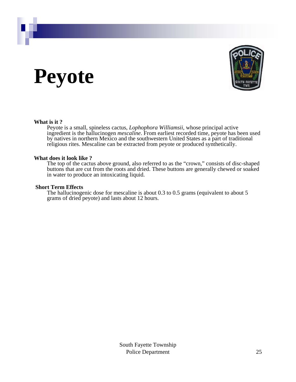## **Peyote**



### **What is it ?**

Peyote is a small, spineless cactus, *Lophophora Williamsii*, whose principal active ingredient is the hallucinogen *mescaline*. From earliest recorded time, peyote has been used by natives in northern Mexico and the southwestern United States as a part of traditional religious rites. Mescaline can be extracted from peyote or produced synthetically.

### **What does it look like ?**

The top of the cactus above ground, also referred to as the "crown," consists of disc-shaped buttons that are cut from the roots and dried. These buttons are generally chewed or soaked in water to produce an intoxicating liquid.

### **Short Term Effects**

The hallucinogenic dose for mescaline is about 0.3 to 0.5 grams (equivalent to about 5 grams of dried peyote) and lasts about 12 hours.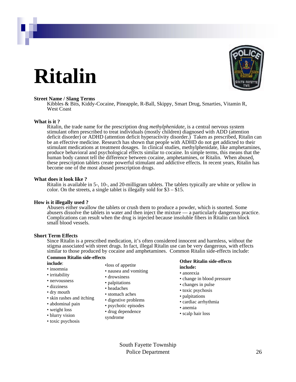## **Ritalin**



#### **Street Name / Slang Terms**

Kibbles & Bits, Kiddy-Cocaine, Pineapple, R-Ball, Skippy, Smart Drug, Smarties, Vitamin R, West Coast

### **What is it ?**

Ritalin, the trade name for the prescription drug *methylphenidate*, is a central nervous system stimulant often prescribed to treat individuals (mostly children) diagnosed with ADD (attention deficit disorder) or ADHD (attention deficit hyperactivity disorder.) Taken as prescribed, Ritalin can be an effective medicine. Research has shown that people with ADHD do not get addicted to their stimulant medications at treatment dosages. In clinical studies, methylphenidate, like amphetamines, produce behavioral and psychological effects similar to cocaine. In simple terms, this means that the human body cannot tell the difference between cocaine, amphetamines, or Ritalin. When abused, these prescription tablets create powerful stimulant and addictive effects. In recent years, Ritalin has become one of the most abused prescription drugs.

#### **What does it look like ?**

Ritalin is available in 5-, 10-, and 20-milligram tablets. The tablets typically are white or yellow in color. On the streets, a single tablet is illegally sold for \$3 – \$15.

#### **How is it illegally used ?**

Abusers either swallow the tablets or crush them to produce a powder, which is snorted. Some abusers dissolve the tablets in water and then inject the mixture — a particularly dangerous practice. Complications can result when the drug is injected because insoluble fibers in Ritalin can block small blood vessels.

### **Short Term Effects**

Since Ritalin is a prescribed medication, it's often considered innocent and harmless, without the stigma associated with street drugs. In fact, illegal Ritalin use can be very dangerous, with effects similar to those produced by cocaine and amphetamines. Common Ritalin side-effects include:

#### **Common Ritalin side-effects include**:

- 
- insomnia
- irritability
- nervousness
- dizziness
- dry mouth
- skin rashes and itching
- abdominal pain
- weight loss
- blurry vision
- toxic psychosis
- •loss of appetite
- nausea and vomiting
- drowsiness
- palpitations
- headaches
- stomach aches
- digestive problems
- psychotic episodes
- drug dependence
- syndrome

#### **Other Ritalin side-effects include:**

- anorexia
- change in blood pressure
- changes in pulse
- toxic psychosis
- palpitations
- cardiac arrhythmia
- anemia
- scalp hair loss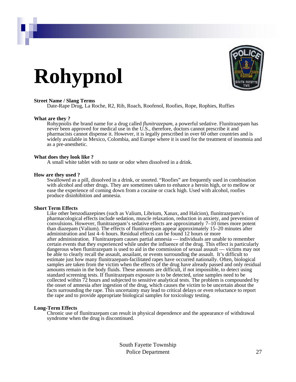# **Rohypnol**



#### **Street Name / Slang Terms**

Date-Rape Drug, La Roche, R2, Rib, Roach, Roofenol, Roofies, Rope, Rophies, Ruffies

#### **What are they ?**

Rohypnolis the brand name for a drug called *flunitrazepam*, a powerful sedative. Flunitrazepam has never been approved for medical use in the U.S., therefore, doctors cannot prescribe it and pharmacists cannot dispense it. However, it is legally prescribed in over 60 other countries and is widely available in Mexico, Colombia, and Europe where it is used for the treatment of insomnia and as a pre-anesthetic.

#### **What does they look like ?**

A small white tablet with no taste or odor when dissolved in a drink.

#### **How are they used ?**

Swallowed as a pill, dissolved in a drink, or snorted. "Roofies" are frequently used in combination with alcohol and other drugs. They are sometimes taken to enhance a heroin high, or to mellow or ease the experience of coming down from a cocaine or crack high. Used with alcohol, roofies produce disinhibition and amnesia.

#### **Short Term Effects**

Like other benzodiazepines (such as Valium, Librium, Xanax, and Halcion), flunitrazepam's pharmacological effects include sedation, muscle relaxation, reduction in anxiety, and prevention of convulsions. However, flunitrazepam's sedative effects are approximately 7–10 times more potent than diazepam (Valium). The effects of flunitrazepam appear approximately 15–20 minutes after administration and last 4–6 hours. Residual effects can be found 12 hours or more after administration. Flunitrazepam causes partial amnesia — individuals are unable to remember certain events that they experienced while under the influence of the drug. This effect is particularly dangerous when flunitrazepam is used to aid in the commission of sexual assault — victims may not be able to clearly recall the assault, assailant, or events surrounding the assault. It's difficult to estimate just how many flunitrazepam-facilitated rapes have occurred nationally. Often, biological samples are taken from the victim when the effects of the drug have already passed and only residual amounts remain in the body fluids. These amounts are difficult, if not impossible, to detect using standard screening tests. If flunitrazepam exposure is to be detected, urine samples need to be collected within 72 hours and subjected to sensitive analytical tests. The problem is compounded by the onset of amnesia after ingestion of the drug, which causes the victim to be uncertain about the facts surrounding the rape. This uncertainty may lead to critical delays or even reluctance to report the rape and to provide appropriate biological samples for toxicology testing.

### **Long-Term Effects**

Chronic use of flunitrazepam can result in physical dependence and the appearance of withdrawal syndrome when the drug is discontinued.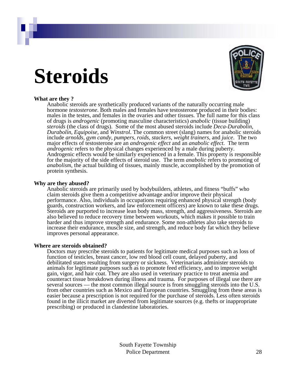## **Steroids**



### **What are they ?**

Anabolic steroids are synthetically produced variants of the naturally occurring male hormone *testosterone*. Both males and females have testosterone produced in their bodies: males in the testes, and females in the ovaries and other tissues. The full name for this class of drugs is *androgenic* (promoting masculine characteristics) *anabolic* (tissue building) *steroids* (the class of drugs). Some of the most abused steroids include *Deca-Durabolin*, *Durabolin*, *Equipoise*, and *Winstrol*. The common street (slang) names for anabolic steroids include *arnolds*, *gym candy*, *pumpers*, *roids*, *stackers*, *weight trainers*, and *juice*. The two major effects of testosterone are an *androgenic effect* and an *anabolic effect*. The term *androgenic* refers to the physical changes experienced by a male during puberty. Androgenic effects would be similarly experienced in a female. This property is responsible for the majority of the side effects of steroid use. The term *anabolic* refers to promoting of *anabolism*, the actual building of tissues, mainly muscle, accomplished by the promotion of protein synthesis.

### **Why are they abused?**

Anabolic steroids are primarily used by bodybuilders, athletes, and fitness "buffs" who claim steroids give them a competitive advantage and/or improve their physical performance. Also, individuals in occupations requiring enhanced physical strength (body guards, construction workers, and law enforcement officers) are known to take these drugs. Steroids are purported to increase lean body mass, strength, and aggressiveness. Steroids are also believed to reduce recovery time between workouts, which makes it possible to train harder and thus improve strength and endurance. Some non-athletes also take steroids to increase their endurance, muscle size, and strength, and reduce body fat which they believe improves personal appearance.

### **Where are steroids obtained?**

Doctors may prescribe steroids to patients for legitimate medical purposes such as loss of function of testicles, breast cancer, low red blood cell count, delayed puberty, and debilitated states resulting from surgery or sickness. Veterinarians administer steroids to animals for legitimate purposes such as to promote feed efficiency, and to improve weight gain, vigor, and hair coat. They are also used in veterinary practice to treat anemia and counteract tissue breakdown during illness and trauma. For purposes of illegal use there are several sources — the most common illegal source is from smuggling steroids into the U.S. from other countries such as Mexico and European countries. Smuggling from these areas is easier because a prescription is not required for the purchase of steroids. Less often steroids found in the illicit market are diverted from legitimate sources (e.g. thefts or inappropriate prescribing) or produced in clandestine laboratories.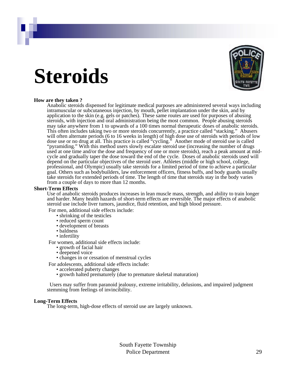## **Steroids**



### **How are they taken ?**

Anabolic steroids dispensed for legitimate medical purposes are administered several ways including intramuscular or subcutaneous injection, by mouth, pellet implantation under the skin, and by application to the skin (e.g. gels or patches). These same routes are used for purposes of abusing steroids, with injection and oral administration being the most common. People abusing steroids may take anywhere from 1 to upwards of a 100 times normal therapeutic doses of anabolic steroids. This often includes taking two or more steroids concurrently, a practice called "stacking." Abusers will often alternate periods (6 to 16 weeks in length) of high dose use of steroids with periods of low dose use or no drug at all. This practice is called "cycling." Another mode of steroid use is called "pyramiding." With this method users slowly escalate steroid use (increasing the number of drugs used at one time and/or the dose and frequency of one or more steroids), reach a peak amount at midcycle and gradually taper the dose toward the end of the cycle. Doses of anabolic steroids used will depend on the particular objectives of the steroid user. Athletes (middle or high school, college, professional, and Olympic) usually take steroids for a limited period of time to achieve a particular goal. Others such as bodybuilders, law enforcement officers, fitness buffs, and body guards usually take steroids for extended periods of time. The length of time that steroids stay in the body varies from a couple of days to more than 12 months.

#### **Short-Term Effects**

Use of anabolic steroids produces increases in lean muscle mass, strength, and ability to train longer and harder. Many health hazards of short-term effects are reversible. The major effects of anabolic steroid use include liver tumors, jaundice, fluid retention, and high blood pressure.

For men, additional side effects include:

- shrinking of the testicles
- reduced sperm count
- development of breasts
- baldness
- infertility

For women, additional side effects include:

- growth of facial hair
- deepened voice
- changes in or cessation of menstrual cycles

For adolescents, additional side effects include:

- accelerated puberty changes
- growth halted prematurely (due to premature skeletal maturation)

Users may suffer from paranoid jealousy, extreme irritability, delusions, and impaired judgment stemming from feelings of invincibility.

#### **Long-Term Effects**

The long-term, high-dose effects of steroid use are largely unknown.